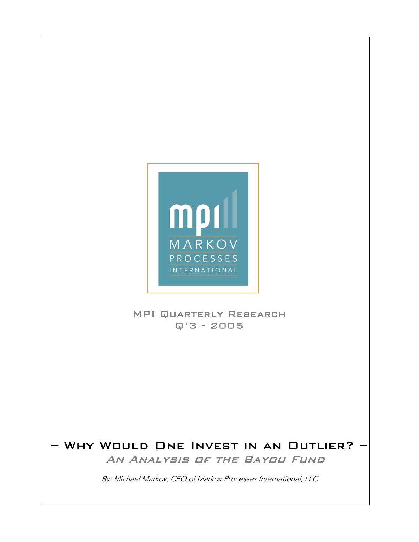

 $\overline{\phantom{a}}$  $\overline{\phantom{a}}$  $\overline{\phantom{a}}$  $\overline{\phantom{a}}$  $\overline{\phantom{a}}$  $\overline{\phantom{a}}$  $\overline{\phantom{a}}$  $\overline{\phantom{a}}$  $\overline{\phantom{a}}$ 

 $\overline{\phantom{a}}$  $\overline{\phantom{a}}$  $\overline{\phantom{a}}$  $\overline{\phantom{a}}$  $\overline{\phantom{a}}$  $\overline{\phantom{a}}$  $\overline{\phantom{a}}$  $\overline{\phantom{a}}$ 

#### MPI Quarterly Research Q'3 - 2005

## – Why Would One Invest in an Outlier? – An Analysis of the Bayou Fund

By: Michael Markov, CEO of Markov Processes International, LLC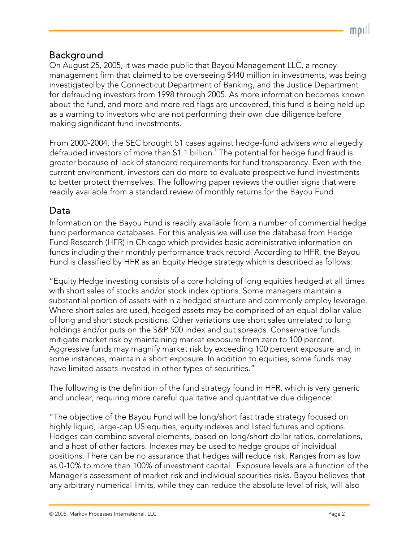## Background

On August 25, 2005, it was made public that Bayou Management LLC, a moneymanagement firm that claimed to be overseeing \$440 million in investments, was being investigated by the Connecticut Department of Banking, and the Justice Department for defrauding investors from 1998 through 2005. As more information becomes known about the fund, and more and more red flags are uncovered, this fund is being held up as a warning to investors who are not performing their own due diligence before making significant fund investments.

From 2000-2004, the SEC brought 51 cases against hedge-fund advisers who allegedly defrauded investors of more than  $$1.1$  billion. $^1$  The potential for hedge fund fraud is greater because of lack of standard requirements for fund transparency. Even with the current environment, investors can do more to evaluate prospective fund investments to better protect themselves. The following paper reviews the outlier signs that were readily available from a standard review of monthly returns for the Bayou Fund.

### Data

Information on the Bayou Fund is readily available from a number of commercial hedge fund performance databases. For this analysis we will use the database from Hedge Fund Research (HFR) in Chicago which provides basic administrative information on funds including their monthly performance track record. According to HFR, the Bayou Fund is classified by HFR as an Equity Hedge strategy which is described as follows:

"Equity Hedge investing consists of a core holding of long equities hedged at all times with short sales of stocks and/or stock index options. Some managers maintain a substantial portion of assets within a hedged structure and commonly employ leverage. Where short sales are used, hedged assets may be comprised of an equal dollar value of long and short stock positions. Other variations use short sales unrelated to long holdings and/or puts on the S&P 500 index and put spreads. Conservative funds mitigate market risk by maintaining market exposure from zero to 100 percent. Aggressive funds may magnify market risk by exceeding 100 percent exposure and, in some instances, maintain a short exposure. In addition to equities, some funds may have limited assets invested in other types of securities."

The following is the definition of the fund strategy found in HFR, which is very generic and unclear, requiring more careful qualitative and quantitative due diligence:

"The objective of the Bayou Fund will be long/short fast trade strategy focused on highly liquid, large-cap US equities, equity indexes and listed futures and options. Hedges can combine several elements, based on long/short dollar ratios, correlations, and a host of other factors. Indexes may be used to hedge groups of individual positions. There can be no assurance that hedges will reduce risk. Ranges from as low as 0-10% to more than 100% of investment capital. Exposure levels are a function of the Manager's assessment of market risk and individual securities risks. Bayou believes that any arbitrary numerical limits, while they can reduce the absolute level of risk, will also

mor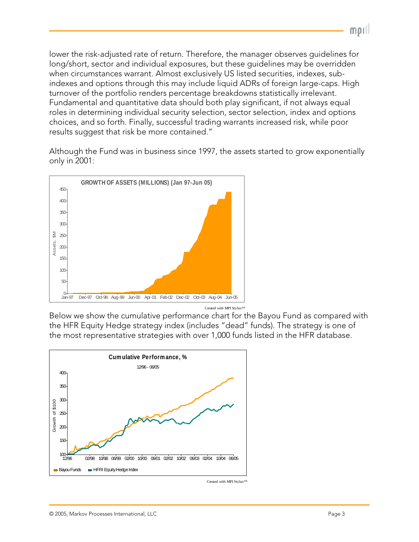lower the risk-adjusted rate of return. Therefore, the manager observes guidelines for long/short, sector and individual exposures, but these guidelines may be overridden when circumstances warrant. Almost exclusively US listed securities, indexes, subindexes and options through this may include liquid ADRs of foreign large-caps. High turnover of the portfolio renders percentage breakdowns statistically irrelevant. Fundamental and quantitative data should both play significant, if not always equal roles in determining individual security selection, sector selection, index and options choices, and so forth. Finally, successful trading warrants increased risk, while poor results suggest that risk be more contained."

Although the Fund was in business since 1997, the assets started to grow exponentially only in 2001:



Below we show the cumulative performance chart for the Bayou Fund as compared with the HFR Equity Hedge strategy index (includes "dead" funds). The strategy is one of the most representative strategies with over 1,000 funds listed in the HFR database.



Created with MPI Stylus™

mpil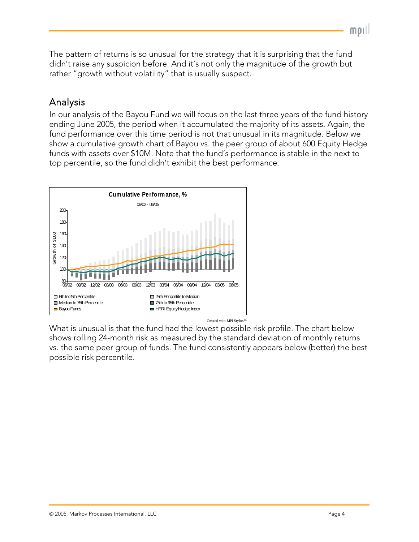The pattern of returns is so unusual for the strategy that it is surprising that the fund didn't raise any suspicion before. And it's not only the magnitude of the growth but rather "growth without volatility" that is usually suspect.

# Analysis

In our analysis of the Bayou Fund we will focus on the last three years of the fund history ending June 2005, the period when it accumulated the majority of its assets. Again, the fund performance over this time period is not that unusual in its magnitude. Below we show a cumulative growth chart of Bayou vs. the peer group of about 600 Equity Hedge funds with assets over \$10M. Note that the fund's performance is stable in the next to top percentile, so the fund didn't exhibit the best performance.



What is unusual is that the fund had the lowest possible risk profile. The chart below shows rolling 24-month risk as measured by the standard deviation of monthly returns vs. the same peer group of funds. The fund consistently appears below (better) the best possible risk percentile.

 $MDI$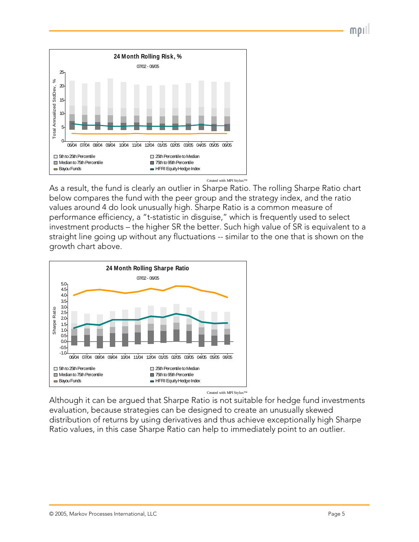$MDI$ 



Created with MPI Stylus™

As a result, the fund is clearly an outlier in Sharpe Ratio. The rolling Sharpe Ratio chart below compares the fund with the peer group and the strategy index, and the ratio values around 4 do look unusually high. Sharpe Ratio is a common measure of performance efficiency, a "t-statistic in disguise," which is frequently used to select investment products – the higher SR the better. Such high value of SR is equivalent to a straight line going up without any fluctuations -- similar to the one that is shown on the growth chart above.



Although it can be argued that Sharpe Ratio is not suitable for hedge fund investments evaluation, because strategies can be designed to create an unusually skewed distribution of returns by using derivatives and thus achieve exceptionally high Sharpe Ratio values, in this case Sharpe Ratio can help to immediately point to an outlier.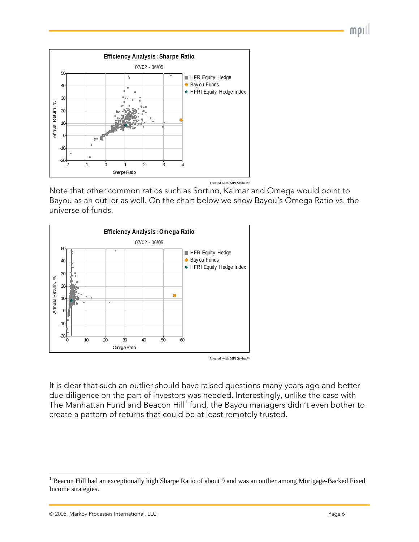

Created with MPI Stylus™

Note that other common ratios such as Sortino, Kalmar and Omega would point to Bayou as an outlier as well. On the chart below we show Bayou's Omega Ratio vs. the universe of funds.



Created with MPI Stylus™

It is clear that such an outlier should have raised questions many years ago and better due diligence on the part of investors was needed. Interestingly, unlike the case with The Manhattan Fund and Beacon Hill $^\dagger$  fund, the Bayou managers didn't even bother to create a pattern of returns that could be at least remotely trusted.

 $\overline{a}$ 

 $MDI$ 

<span id="page-5-0"></span><sup>&</sup>lt;sup>1</sup> Beacon Hill had an exceptionally high Sharpe Ratio of about 9 and was an outlier among Mortgage-Backed Fixed Income strategies.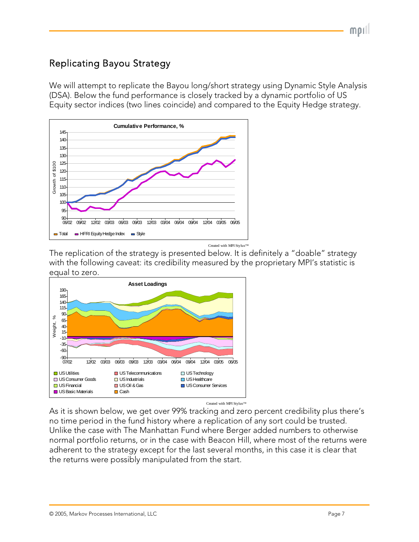# Replicating Bayou Strategy

We will attempt to replicate the Bayou long/short strategy using Dynamic Style Analysis (DSA). Below the fund performance is closely tracked by a dynamic portfolio of US Equity sector indices (two lines coincide) and compared to the Equity Hedge strategy.



The replication of the strategy is presented below. It is definitely a "doable" strategy with the following caveat: its credibility measured by the proprietary MPI's statistic is equal to zero.



As it is shown below, we get over 99% tracking and zero percent credibility plus there's no time period in the fund history where a replication of any sort could be trusted. Unlike the case with The Manhattan Fund where Berger added numbers to otherwise normal portfolio returns, or in the case with Beacon Hill, where most of the returns were adherent to the strategy except for the last several months, in this case it is clear that the returns were possibly manipulated from the start.

 $MDI$